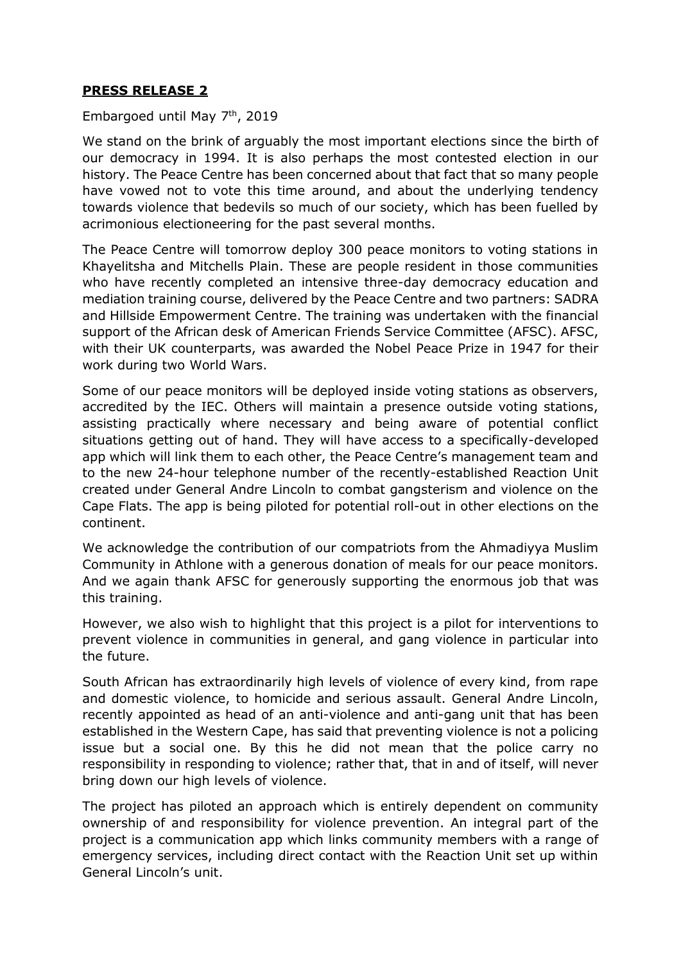## **PRESS RELEASE 2**

## Embargoed until May 7<sup>th</sup>, 2019

We stand on the brink of arguably the most important elections since the birth of our democracy in 1994. It is also perhaps the most contested election in our history. The Peace Centre has been concerned about that fact that so many people have vowed not to vote this time around, and about the underlying tendency towards violence that bedevils so much of our society, which has been fuelled by acrimonious electioneering for the past several months.

The Peace Centre will tomorrow deploy 300 peace monitors to voting stations in Khayelitsha and Mitchells Plain. These are people resident in those communities who have recently completed an intensive three-day democracy education and mediation training course, delivered by the Peace Centre and two partners: SADRA and Hillside Empowerment Centre. The training was undertaken with the financial support of the African desk of American Friends Service Committee (AFSC). AFSC, with their UK counterparts, was awarded the Nobel Peace Prize in 1947 for their work during two World Wars.

Some of our peace monitors will be deployed inside voting stations as observers, accredited by the IEC. Others will maintain a presence outside voting stations, assisting practically where necessary and being aware of potential conflict situations getting out of hand. They will have access to a specifically-developed app which will link them to each other, the Peace Centre's management team and to the new 24-hour telephone number of the recently-established Reaction Unit created under General Andre Lincoln to combat gangsterism and violence on the Cape Flats. The app is being piloted for potential roll-out in other elections on the continent.

We acknowledge the contribution of our compatriots from the Ahmadiyya Muslim Community in Athlone with a generous donation of meals for our peace monitors. And we again thank AFSC for generously supporting the enormous job that was this training.

However, we also wish to highlight that this project is a pilot for interventions to prevent violence in communities in general, and gang violence in particular into the future.

South African has extraordinarily high levels of violence of every kind, from rape and domestic violence, to homicide and serious assault. General Andre Lincoln, recently appointed as head of an anti-violence and anti-gang unit that has been established in the Western Cape, has said that preventing violence is not a policing issue but a social one. By this he did not mean that the police carry no responsibility in responding to violence; rather that, that in and of itself, will never bring down our high levels of violence.

The project has piloted an approach which is entirely dependent on community ownership of and responsibility for violence prevention. An integral part of the project is a communication app which links community members with a range of emergency services, including direct contact with the Reaction Unit set up within General Lincoln's unit.